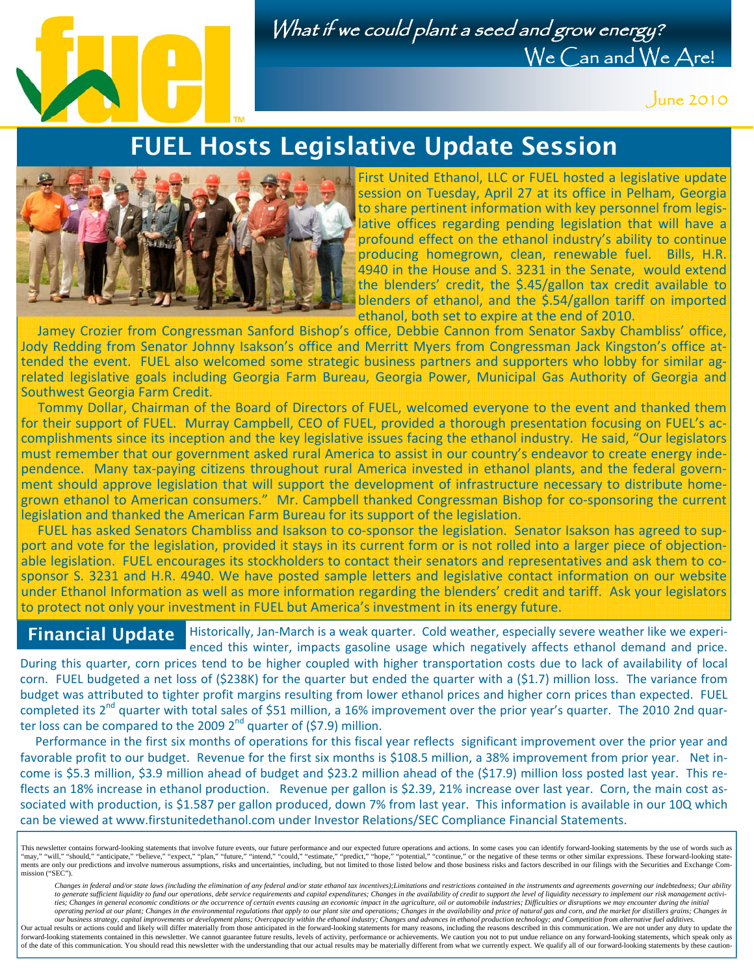

## What if we could plant a seed and grow energy? We Can and We Are!

June 2010

## FUEL Hosts Legislative Update Session



First United Ethanol, LLC or FUEL hosted a legislative update session on Tuesday, April 27 at its office in Pelham, Georgia to share pertinent information with key personnel from legis‐ lative offices regarding pending legislation that will have a profound effect on the ethanol industry's ability to continue producing homegrown, clean, renewable fuel. Bills, H.R. 4940 in the House and S. 3231 in the Senate, would extend the blenders' credit, the \$.45/gallon tax credit available to blenders of ethanol, and the \$.54/gallon tariff on imported ethanol, both set to expire at the end of 2010.

 Jamey Crozier from Congressman Sanford Bishop's office, Debbie Cannon from Senator Saxby Chambliss' office, Jody Redding from Senator Johnny Isakson's office and Merritt Myers from Congressman Jack Kingston's office at‐ tended the event. FUEL also welcomed some strategic business partners and supporters who lobby for similar ag‐ related legislative goals including Georgia Farm Bureau, Georgia Power, Municipal Gas Authority of Georgia and Southwest Georgia Farm Credit.

 Tommy Dollar, Chairman of the Board of Directors of FUEL, welcomed everyone to the event and thanked them for their support of FUEL. Murray Campbell, CEO of FUEL, provided a thorough presentation focusing on FUEL's accomplishments since its inception and the key legislative issues facing the ethanol industry. He said, "Our legislators must remember that our government asked rural America to assist in our country's endeavor to create energy inde‐ pendence. Many tax-paying citizens throughout rural America invested in ethanol plants, and the federal government should approve legislation that will support the development of infrastructure necessary to distribute home‐ grown ethanol to American consumers." Mr. Campbell thanked Congressman Bishop for co‐sponsoring the current legislation and thanked the American Farm Bureau for its support of the legislation.

FUEL has asked Senators Chambliss and Isakson to co-sponsor the legislation. Senator Isakson has agreed to support and vote for the legislation, provided it stays in its current form or is not rolled into a larger piece of objectionable legislation. FUEL encourages its stockholders to contact their senators and representatives and ask them to cosponsor S. 3231 and H.R. 4940. We have posted sample letters and legislative contact information on our website under Ethanol Information as well as more information regarding the blenders' credit and tariff. Ask your legislators to protect not only your investment in FUEL but America's investment in its energy future.

### Financial Update

Historically, Jan-March is a weak quarter. Cold weather, especially severe weather like we experienced this winter, impacts gasoline usage which negatively affects ethanol demand and price.

During this quarter, corn prices tend to be higher coupled with higher transportation costs due to lack of availability of local corn. FUEL budgeted a net loss of (\$238K) for the quarter but ended the quarter with a (\$1.7) million loss. The variance from budget was attributed to tighter profit margins resulting from lower ethanol prices and higher corn prices than expected. FUEL completed its  $2^{nd}$  quarter with total sales of \$51 million, a 16% improvement over the prior year's quarter. The 2010 2nd quarter loss can be compared to the 2009  $2^{nd}$  quarter of (\$7.9) million.

 Performance in the first six months of operations for this fiscal year reflects significant improvement over the prior year and favorable profit to our budget. Revenue for the first six months is \$108.5 million, a 38% improvement from prior year. Net income is \$5.3 million, \$3.9 million ahead of budget and \$23.2 million ahead of the (\$17.9) million loss posted last year. This reflects an 18% increase in ethanol production. Revenue per gallon is \$2.39, 21% increase over last year. Corn, the main cost associated with production, is \$1.587 per gallon produced, down 7% from last year. This information is available in our 10Q which can be viewed at www.firstunitedethanol.com under Investor Relations/SEC Compliance Financial Statements.

Changes in federal and/or state laws (including the elimination of any federal and/or state ethanol tax incentives); Limitations and restrictions contained in the instruments and agreements governing our indebtedness; Our to generate sufficient liquidity to fund our operations, debt service requirements and capital expenditures; Changes in the availability of credit to support the level of liquidity necessary to implement our risk managemen ties; Changes in general economic conditions or the occurrence of certain events causing an economic impact in the agriculture, oil or automobile industries; Difficulties or disruptions we may encounter during the initial

operating period at our plant; Changes in the environmental regulations that apply to our plant site and operations; Changes in the availability and price of natural gas and corn, and the market for distillers grains; Chan Our actual results or actions could and likely will differ materially from those anticipated in the forward-looking statements for many reasons, including the reasons described in this communication. We are not under any d of the date of this communication. You should read this newsletter with the understanding that our actual results may be materially different from what we currently expect. We qualify all of our forward-looking statements

This newsletter contains forward-looking statements that involve future events, our future performance and our expected future operations and actions. In some cases you can identify forward-looking statements by the use of ments are only our predictions and involve numerous assumptions, risks and uncertainties, including, but not limited to those listed below and those business risks and factors described in our filings with the Securities a mission ("SEC").